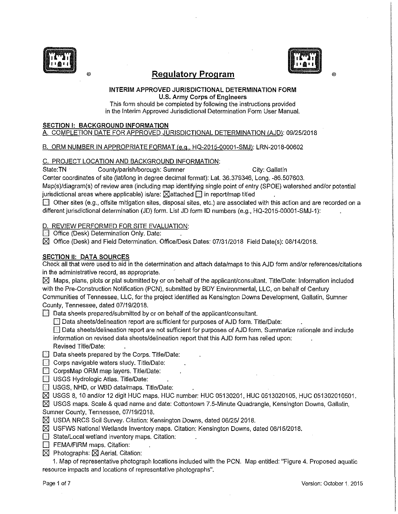



®

# ® **Regulatory Program**

#### INTERIM APPROVED JURISDICTIONAL DETERMINATION FORM U.S. Army Corps of Engineers

This form should be completed by following the instructions provided in the Interim Approved Jurisdictional Determination Form User Manual.

### SECTION I: BACKGROUND INFORMATION

### A. COMPLETION DATE FOR APPROVED JURISDICTIONAL DETERMINATION IAJD): 09/25/2018

### B. ORM NUMBER IN APPROPRIATE FORMAT (e.g., HQ-2015-00001-SMJ): LRN-2018-00602

### C. PROJECT LOCATION AND BACKGROUND INFORMATION:

State:TN County/parish/borough: Sumner City: Gallatin

Center coordinates of site (lat/long in degree decimal format): Lat. 36.379346, Long. -86.507603.

Map(s)/diagram(s) of review area (including map identifying single point of entry (SPOE) watershed and/or potential jurisdictional areas where applicable) is/are:  $\boxtimes$  attached  $\boxdot$  in report/map titled

 $\Box$  Other sites (e.g., offsite mitigation sites, disposal sites, etc.) are associated with this action and are recorded on a different jurisdictional determination (JD) form. List JD form ID numbers (e.g., HQ-2015-00001-SMJ-1):

D. REVIEW PERFORMED. FOR SITE EVALUATION:

**D** Office (Desk) Determination Only. Date:

 $\boxtimes$  Office (Desk) and Field Determination. Office/Desk Dates: 07/31/2018 Field Date(s): 08/14/2018.

### SECTION II: DATA SOURCES

Check all that were used to aid in the determination and attach data/maps to this AJD form and/or references/citations in the administrative record, as appropriate.

 $\boxtimes$  Maps, plans, plots or plat submitted by or on behalf of the applicant/consultant. Title/Date: Information included with the Pre-Construction Notification (PCN), submitted by BOY Environmental, LLC, on behalf of Century Communities of Tennessee, LLC, for the project identified as Kensington Downs Development, Gallatin, Sumner County, Tennessee, dated 07/19/2018.

 $\Box$  Data sheets prepared/submitted by or on behalf of the applicant/consultant.

 $\Box$  Data sheets/delineation report are sufficient for purposes of AJD form. Title/Date:

 $\Box$  Data sheets/delineation report are not sufficient for purposes of AJD form. Summarize rationale and include information on revised data sheets/delineation report that this AJD form has relied upon: Revised Title/Date:

- $\Box$  Data sheets prepared by the Corps. Title/Date:
- $\Box$  Corps navigable waters study. Title/Date:
- D CorpsMap ORM map layers. Title/Date:
- $\Box$  USGS Hydrologic Atlas. Title/Date:
- **8** USGS, NHD, or WBD data/maps. Title/Date:
- $\boxtimes$  USGS 8, 10 and/or 12 digit HUC maps. HUC number: HUC 05130201, HUC 0513020105, HUC 051302010501.

 $[8]$  USGS maps. Scale & quad name and date: Cottontown 7.5-Minute Quadrangle, Kensington Downs, Gallatin, Sumner County, Tennessee, 07/19/2018.

- $\boxtimes$  USDA NRCS Soil Survey. Citation: Kensington Downs, dated 06/25/ 2018.
- $\boxtimes$  USFWS National Wetlands Inventory maps. Citation: Kensington Downs, dated 06/15/2018.
- **B** State/Local wetland inventory maps. Citation:
- **D** FEMA/FIRM maps. Citation:
- $[8]$  Photographs:  $[8]$  Aerial. Citation:

1. Map of representative photograph locations included with the PCN. Map entitled: "Figure 4. Proposed aquatic resource impacts and locations of representative photographs".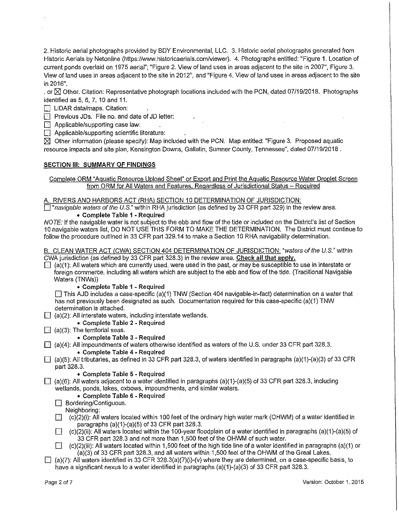2. Historic aerial photographs provided by BOY Environmental, LLC. 3. Historic aerial photographs generated from Historic Aerials by Netonline (https://www.historicaerials.com/viewer). 4. Photographs entitled: "Figure 1. Location of current ponds overlaid on 1975 aerial"; "Figure 2. View of land uses in areas adjacent to the site in 2007'', Figure 3. View of land uses in areas adjacent to the site in 2012", and "Figure 4. View of land uses in areas adjacent to the site in 2016".

. or  $\boxtimes$  Other. Citation: Representative photograph locations included with the PCN, dated 07/19/2018. Photographs identified as 5, 6, 7, 10 and 11.

**<sup>1</sup>** LiDAR data/maps. Citation:

**DED** Previous JDs. File no. and date of JD letter:

 $\Box$  Applicable/supporting case law:

 $\Box$  Applicable/supporting scientific literature:

 $\boxtimes$  Other information (please specify): Map included with the PCN. Map entitled: "Figure 3. Proposed aquatic resource impacts and site plan, Kensington Downs, Gallatin, Sumner County, Tennessee", dated 07/19/2018.

#### **SECTION Ill: SUMMARY OF FINDINGS**

Complete ORM "Aquatic Resource Upload Sheet" or Export and Print the Aquatic Resource Water Droplet Screen from ORM for All Waters and Features, Regardless of Jurisdictional Status - Required

A. RIVERS AND HARBORS ACT (RHA) SECTION 10 DETERMINATION OF JURISDICTION:

 $\Box$  "navigable waters of the U.S." within RHA jurisdiction (as defined by 33 CFR part 329) in the review area. • **Complete Table 1 - Required** 

NOTE: If the navigable water is not subject to the ebb and flow of the tide or included on the District's list of Section 10 navigable waters list, DO NOT USE THIS FORM TO MAKE THE DETERMINATION. The District must continue to follow the procedure outlined in 33 CFR part 329.14 to make a Section 10 RHA navigability determination.

B. CLEAN WATER ACT (CWA) SECTION 404 DETERMINATION OF JURISDICTION: "waters of the U.S." within CWA jurisdiction (as defined by 33 CFR part 328.3) in the review area. **Check all that apply.** 

 $\Box$  (a)(1): All waters which are currently used, were used in the past, or may be susceptible to use in interstate or foreign commerce, including all waters which are subject to the ebb and flow of the tide. (Traditional Navigable Waters {TNWs))

#### • **Complete Table 1 - Required**

**[6]** This AJD includes a case-specific (a)(1) TNW (Section 404 navigable-in-fact) determination on a water that has not previously been designated as such. Documentation required for this case-specific (a)(1) TNW determination is attached.

 $\Box$  (a)(2): All interstate waters, including interstate wetlands.

• **Complete Table** 2 - **Required** 

 $\Box$  (a)(3): The territorial seas.

### • **Complete Table** 3 - **Required**

0 (a)(4): All impoundments of waters otherwise identified as waters of the U.S. under 33 CFR part 328.3.

#### • **Complete Table 4 - Required**

 $\Box$  (a)(5): All tributaries, as defined in 33 CFR part 328.3, of waters identified in paragraphs (a)(1)-(a)(3) of 33 CFR part 328.3.

#### • **Complete Table 5 - Required**

 $\Box$  (a)(6): All waters adjacent to a water identified in paragraphs (a)(1)-(a)(5) of 33 CFR part 328.3, including wetlands, ponds, lakes, oxbows, impoundments, and similar waters.

### • **Complete Table 6 - Required**

 $\Box$  Bordering/Contiguous.

Neighboring:

- $\Box$  (c)(2)(i): All waters located within 100 feet of the ordinary high water mark (OHWM) of a water identified in paragraphs (a)(1)-(a)(5) of 33 CFR part 328.3.
- $\Box$  (c)(2)(ii): All waters located within the 100-year floodplain of a water identified in paragraphs (a)(1)-(a)(5) of 33 CFR part 328.3 and not more than 1,500 feet of the OHWM of such water.
- $\Box$  (c)(2)(iii): All waters located within 1,500 feet of the high tide line of a water identified in paragraphs (a)(1) or (a)(3) of 33 CFR part 328.3, and all waters within 1,500 feet of the OHWM of the Great Lakes.
- $\Box$  (a)(7): All waters identified in 33 CFR 328.3(a)(7)(i)-(v) where they are determined, on a case-specific basis, to have a significant nexus to a water identified in paragraphs (a)(1)-(a)(3) of 33 CFR part 328.3.

**INTERNATIO ILENSORIES**<br>Externalistic **International Control**<br>International Control<br>International Control<br>International Control<br>International Control<br>International Control<br>International Control<br>International Control<br>International Control

**International Contract Contract Contract Contract Contract Contract Contract Contract Contract Contract Contract Contract Contract Contract Contract Contract Contract Contract Contract Contract Contract Contract Contract** 

**International Control Internet**<br>Internet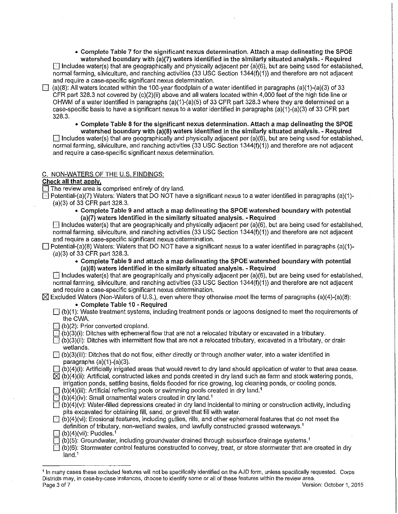• Complete Table 7 for the significant nexus determination. Attach a map delineating the SPOE watershed boundary with (a)(7) waters identified in the similarly situated analysis. - Required  $\Box$  Includes water(s) that are geographically and physically adjacent per (a)(6), but are being used for established,

normal farming, silviculture, and ranching activities (33 USC Section 1344(f)(1)) and therefore are not adjacent and require a case-specific significant nexus determination.

 $\Box$  (a)(8): All waters located within the 100-year floodplain of a water identified in paragraphs (a)(1)-(a)(3) of 33 CFR part 328.3 not covered by (c)(2)(ii) above and all waters located within 4,000 feet of the high tide line or OHWM of a water identified in paragraphs (a)(1)-(a)(5) of 33 CFR part 328.3 where they are determined on a case-specific basis to have a significant nexus to a water identified in paragraphs (a)(1 )-(a)(3) of 33 CFR part 328.3.

• Complete Table 8 for the significant nexus determination. Attach a map delineating the SPOE watershed boundary with (a)(8) waters identified in the similarly situated analysis. - Required

 $\Box$  Includes water(s) that are geographically and physically adjacent per (a)(6), but are being used for established, normal farming, silviculture, and ranching activities (33 USC Section 1344(f)(1)) and therefore are not adjacent and require a case-specific significant nexus determination.

### C. NON-WATERS OF THE U.S. FINDINGS:

### Check all that apply.

 $\Box$  The review area is comprised entirely of dry land.

 $\Box$  Potential-(a)(7) Waters: Waters that DO NOT have a significant nexus to a water identified in paragraphs (a)(1)-(a)(3) of 33 CFR part 328.3.

• Complete Table 9 and attach a map delineating the SPOE watershed boundary with potential (a)(7) waters identified in the similarly situated analysis. - Required

 $\Box$  Includes water(s) that are geographically and physically adjacent per (a)(6), but are being used for established, normal farming, silviculture, and ranching activities (33 USC Section 1344(1)(1)) and therefore are not adjacent and require a case-specific significant nexus determination.

- $\Box$  Potential-(a)(8) Waters: Waters that DO NOT have a significant nexus to a water identified in paragraphs (a)(1)-(a)(3) of 33 CFR part 328.3.
	- Complete Table 9 and attach a map delineating the SPOE watershed boundary with potential (a)(8) waters identified in the similarly situated analysis. - Required

 $\Box$  Includes water(s) that are geographically and physically adjacent per (a)(6), but are being used for established, normal farming, silviculture, and ranching activities (33 USC Section 1344(1)(1)) and therefore are not adjacent and require a case-specific significant nexus determination.

 $\boxtimes$  Excluded Waters (Non-Waters of U.S.), even where they otherwise meet the terms of paragraphs (a)(4)-(a)(8):

### • Complete Table 10 - Required

- $\Box$  (b)(1): Waste treatment systems, including treatment ponds or lagoons designed to meet the requirements of the CWA.
- $\Box$  (b)(2): Prior converted cropland.
- $\boxdot$  (b)(3)(i): Ditches with ephemeral flow that are not a relocated tributary or excavated in a tributary.
- $\Box$  (b)(3)(ii): Ditches with intermittent flow that are not a relocated tributary, excavated in a tributary, or drain wetlands.
- D (b)(3)(iii): Ditches that do not flow, either directly or through another water, into a water identified in paragraphs  $(a)(1)-(a)(3)$ .
- $\Box$  (b)(4)(i): Artificially irrigated areas that would revert to dry land should application of water to that area cease.

 $\boxtimes$  (b)(4)(ii): Artificial, constructed lakes and ponds created in dry land such as farm and stock watering ponds,

irrigation ponds, settling basins, fields flooded for rice growing, log cleaning ponds, or cooling ponds.

 $\Box$  (b)(4)(iii): Artificial reflecting pools or swimming pools created in dry land.<sup>1</sup>  $\Box$  (b)(4)(iv): Small ornamental waters created in dry land.<sup>1</sup>

- $\Box$  (b)(4)(v): Water-filled depressions created in dry land incidental to mining or construction activity, including pits excavated for obtaining fill, sand, or gravel that fill with water.
- $\Box$  (b)(4)(vi): Erosional features, including gullies, rills, and other ephemeral features that do not meet the definition of tributary, non-wetland swales, and lawfully constructed grassed waterways.<sup>1</sup>
- $\Box$  (b)(4)(vii): Puddles.<sup>1</sup>
- $\boxdot$  (b)(5): Groundwater, including groundwater drained through subsurface drainage systems.<sup>1</sup>
- $\Box$  (b)(6): Stormwater control features constructed to convey, treat, or store stormwater that are created in dry land.<sup>1</sup>

<sup>1</sup>In many cases these excluded features will not be specifically identified on the AJD form, unless specifically requested. Corps Districts may, in case-by-case instances, choose to identify some or all of these features within the review area. Page 3 of 7 Version: October 1, 2015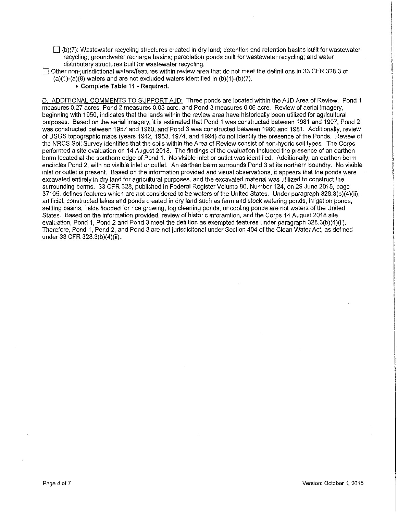- $\Box$  (b)(7): Wastewater recycling structures created in dry land; detention and retention basins built for wastewater recycling; groundwater recharge basins; percolation ponds built for wastewater recycling; and water distributary structures built for wastewater recycling.
- 0 Other non-jurisdictional waters/features within review area that do not meet the definitions in 33 CFR 328.3 of  $(a)(1)-(a)(8)$  waters and are not excluded waters identified in  $(b)(1)-(b)(7)$ .
	- **Complete Table 11 - Required.**

D. ADDITIONAL COMMENTS TO SUPPORT AJD: Three ponds are located within the AJD Area of Review. Pond 1 measures 0.27 acres, Pond 2 measures 0.03 acre, and Pond 3 measures 0.06 acre. Review of aerial imagery, beginning with 1950, indicates that the lands within the review area have historically been utilized for agricultural purposes. Based on the aerial imagery, it is estimated that Pond 1 was constructed between 1981 and 1997, Pond 2 was constructed between 1957 and 1980, and Pond 3 was constructed between 1980 and 1981. Additionally, review of USGS topographic maps (years 1942, 1953, 1974, and 1994) do not identify the presence of the Ponds. Review of the NRCS Soil Survey identifies that the soils within the Area of Review consist of non-hydric soil types. The Corps performed a site evaluation on 14 August 2018. The findings of the evaluation included the presence of an earthen berm located at the southern edge of Pond 1. No visible inlet or outlet was identified. Additionally, an earthen berm encircles Pond 2, with no visible inlet or outlet. An earthen berm surrounds Pond 3 at its northern boundry. No visible inlet or outlet is present. Based on the information provided and visual observations, it appears that the ponds were excavated entirely in dry land for agricultural purposes, and the excavated material was utilized to construct the surrounding berms. 33 CFR 328, published in Federal Register Volume 80, Number 124, on 29 June 2015, page 37105, defines features which are not considered to be waters of the United States. Under paragraph 328.3(b)(4)(ii), artificial, constructed lakes and ponds created in dry land such as farm and stock watering ponds, irrigation ponds, settling basins, fields flooded for rice growing, log cleaning ponds, or cooling ponds are not waters of the United States. Based on the information provided, review of historic inforamtion, and the Corps 14 August 2018 site evaluation, Pond 1, Pond 2 and Pond 3 meet the defiition as exempted features under paragraph 328.3(b)(4)(ii). Therefore, Pond 1, Pond 2, and Pond 3 are not jurisdicitonal under Section 404 of the Clean Water Act, as defined under 33 CFR 328.3(b)(4)(ii)...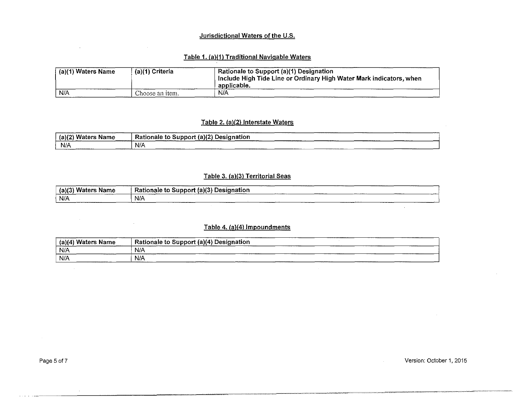### Jurisdictional Waters of the U.S.

# Table 1. (a)(1) Traditional Navigable Waters

| (a)(1) Waters Name | (a)(1) Criteria | Rationale to Support (a)(1) Designation<br>Include High Tide Line or Ordinary High Water Mark indicators, when<br>applicable. |
|--------------------|-----------------|-------------------------------------------------------------------------------------------------------------------------------|
| N/A                | Choose an item. | N/A                                                                                                                           |

### Table 2. (a)(2) Interstate Waters

| Waters<br>(a)(2)<br>Name | Rationale to Support (a)(2) Designation                                                                    |
|--------------------------|------------------------------------------------------------------------------------------------------------|
| $N/\Lambda$              | N/A<br>---------<br>----------<br><b>CONTINUES IN THE 2005</b><br>______________<br>------------<br>______ |

### Table 3. (a)(3) Territorial Seas

| Waters<br>(a)(2)<br>Name | Rationale to Support (a)(3)<br>⊦ Designation<br>______<br>-------------<br>______ |
|--------------------------|-----------------------------------------------------------------------------------|
| N/A<br>                  | N/A<br>--------<br>. . <b>.</b>                                                   |

### Table 4. (a){4) Impoundments

| _______________<br><b>Waters Name</b><br>(a)(4)<br>ستستسحط | $\dot{}$ Rationale to Support (a)(4) Designation $\dot{}$<br>_____<br>---------<br>--------- |
|------------------------------------------------------------|----------------------------------------------------------------------------------------------|
| N/A                                                        | N/A<br>------------<br>----------                                                            |
| N/A                                                        | N/A<br>---------------<br>-----------<br>________                                            |

- ~~~="'~~~-==~ ="='~'~~'='-=~'="''''=-~-'=-=----~-~,=-~-~-.~. ~-'~'"'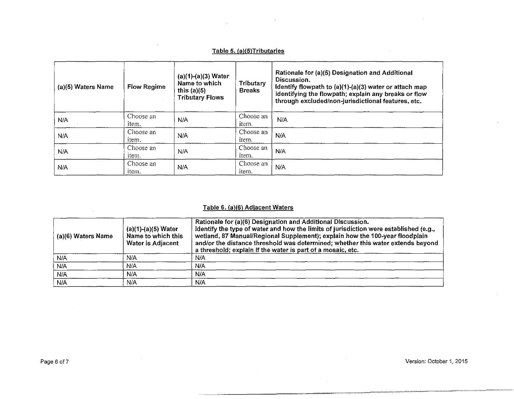### Table 5. (a)(S)Tributaries

| (a)(5) Waters Name | <b>Flow Regime</b> | $(a)(1)-(a)(3)$ Water<br>Name to which<br>this $(a)(5)$<br><b>Tributary Flows</b> | Tributary<br><b>Breaks</b> | Rationale for (a)(5) Designation and Additional<br>Discussion.<br>Identify flowpath to (a)(1)-(a)(3) water or attach map<br>identifying the flowpath; explain any breaks or flow<br>through excluded/non-jurisdictional features, etc. |
|--------------------|--------------------|-----------------------------------------------------------------------------------|----------------------------|----------------------------------------------------------------------------------------------------------------------------------------------------------------------------------------------------------------------------------------|
| N/A                | Choose an<br>item. | N/A                                                                               | Choose an<br>item.         | N/A                                                                                                                                                                                                                                    |
| N/A                | Choose an<br>item. | N/A                                                                               | Choose an<br>item.         | N/A                                                                                                                                                                                                                                    |
| N/A                | Choose an<br>item. | N/A                                                                               | Choose an<br>item.         | N/A                                                                                                                                                                                                                                    |
| N/A                | Choose an<br>item. | N/A                                                                               | Choose an<br>item.         | N/A                                                                                                                                                                                                                                    |

# Table 6. (a)(6) Adjacent Waters

| (a)(6) Waters Name | $(a)(1)-(a)(5)$ Water<br>Name to which this<br>Water is Adjacent | Rationale for (a)(6) Designation and Additional Discussion.<br>Identify the type of water and how the limits of jurisdiction were established (e.g.,<br>wetland, 87 Manual/Regional Supplement); explain how the 100-year floodplain<br>and/or the distance threshold was determined; whether this water extends beyond<br>a threshold; explain if the water is part of a mosaic, etc. |
|--------------------|------------------------------------------------------------------|----------------------------------------------------------------------------------------------------------------------------------------------------------------------------------------------------------------------------------------------------------------------------------------------------------------------------------------------------------------------------------------|
| N/A                | N/A                                                              | N/A                                                                                                                                                                                                                                                                                                                                                                                    |
| N/A                | N/A                                                              | N/A                                                                                                                                                                                                                                                                                                                                                                                    |
| N/A                | N/A                                                              | N/A                                                                                                                                                                                                                                                                                                                                                                                    |
| N/A                | N/A                                                              | N/A                                                                                                                                                                                                                                                                                                                                                                                    |

~-··~-~·,~=-=--···-· ---~=-~=-=-~--=-··-·~"~-=-~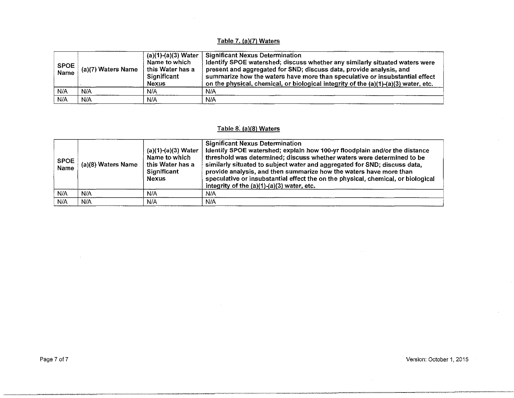# Table 7. (a)(7) Waters

 $\sim 10^{-1}$ 

| <b>SPOE</b><br><b>Name</b> | $^+$ (a)(7) Waters Name | (a)(1)-(a)(3) Water<br>Name to which<br>this Water has a<br>Significant<br><b>Nexus</b> | <b>Significant Nexus Determination</b><br>Identify SPOE watershed; discuss whether any similarly situated waters were<br>present and aggregated for SND; discuss data, provide analysis, and<br>summarize how the waters have more than speculative or insubstantial effect<br>on the physical, chemical, or biological integrity of the $(a)(1)-(a)(3)$ water, etc. |
|----------------------------|-------------------------|-----------------------------------------------------------------------------------------|----------------------------------------------------------------------------------------------------------------------------------------------------------------------------------------------------------------------------------------------------------------------------------------------------------------------------------------------------------------------|
| N/A                        | N/A                     | N/A                                                                                     | N/A                                                                                                                                                                                                                                                                                                                                                                  |
| N/A                        | N/A                     | N/A                                                                                     | N/A                                                                                                                                                                                                                                                                                                                                                                  |

# Table 8. (a)(8) Waters

| <b>SPOE</b><br>Name | (a)(8) Waters Name | $(a)(1)-(a)(3)$ Water<br>Name to which<br>this Water has a<br><b>Significant</b><br><b>Nexus</b> | <b>Significant Nexus Determination</b><br>Identify SPOE watershed; explain how 100-yr floodplain and/or the distance<br>threshold was determined; discuss whether waters were determined to be<br>similarly situated to subject water and aggregated for SND; discuss data,<br>provide analysis, and then summarize how the waters have more than<br>speculative or insubstantial effect the on the physical, chemical, or biological<br>integrity of the $(a)(1)-(a)(3)$ water, etc. |
|---------------------|--------------------|--------------------------------------------------------------------------------------------------|---------------------------------------------------------------------------------------------------------------------------------------------------------------------------------------------------------------------------------------------------------------------------------------------------------------------------------------------------------------------------------------------------------------------------------------------------------------------------------------|
| N/A                 | N/A                | N/A                                                                                              | N/A                                                                                                                                                                                                                                                                                                                                                                                                                                                                                   |
| N/A                 | N/A                | N/A                                                                                              | N/A                                                                                                                                                                                                                                                                                                                                                                                                                                                                                   |

·----~~--------~-'="~~~----- ==·---~----~-----="=~' --~---~----~---~.~------

Page 7 of 7 Version: October 1, 2015

 $\bar{z}$ 

 $\mathcal{L}$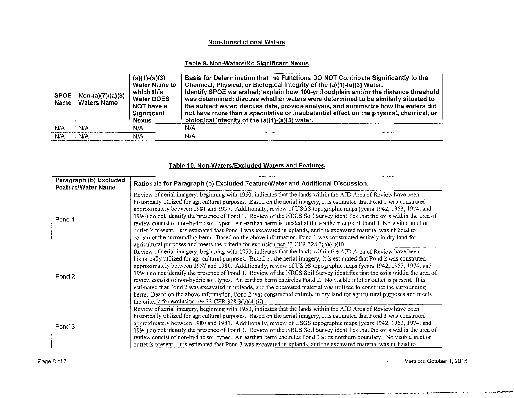### Non-Jurisdictional Waters

### Table 9. Non-Waters/No Significant Nexus

| <b>SPOE</b><br>Name | Non-(a)(7)/(a)(8)<br><b>Waters Name</b> | $(a)(1)-(a)(3)$<br><b>Water Name to</b><br>which this<br><b>Water DOES</b><br>NOT have a<br>Significant<br><b>Nexus</b> | Basis for Determination that the Functions DO NOT Contribute Significantly to the<br>Chemical, Physical, or Biological Integrity of the (a)(1)-(a)(3) Water.<br>Identify SPOE watershed; explain how 100-yr floodplain and/or the distance threshold<br>was determined; discuss whether waters were determined to be similarly situated to<br>the subject water; discuss data, provide analysis, and summarize how the waters did<br>not have more than a speculative or insubstantial effect on the physical, chemical, or<br>biological integrity of the $(a)(1)-(a)(3)$ water. |
|---------------------|-----------------------------------------|-------------------------------------------------------------------------------------------------------------------------|-----------------------------------------------------------------------------------------------------------------------------------------------------------------------------------------------------------------------------------------------------------------------------------------------------------------------------------------------------------------------------------------------------------------------------------------------------------------------------------------------------------------------------------------------------------------------------------|
| N/A                 | N/A                                     | N/A                                                                                                                     | N/A                                                                                                                                                                                                                                                                                                                                                                                                                                                                                                                                                                               |
| <b>N/A</b>          | N/A                                     | N/A                                                                                                                     | N/A                                                                                                                                                                                                                                                                                                                                                                                                                                                                                                                                                                               |

# Table 10. Non-Waters/Excluded Waters and Features

| Paragraph (b) Excluded<br><b>Feature/Water Name</b> | Rationale for Paragraph (b) Excluded Feature/Water and Additional Discussion.                                                                                                                                                                                                                                                                                                                                                                                                                                                                                                                                                                                                                                                                                                                                                                                                                                                                                   |
|-----------------------------------------------------|-----------------------------------------------------------------------------------------------------------------------------------------------------------------------------------------------------------------------------------------------------------------------------------------------------------------------------------------------------------------------------------------------------------------------------------------------------------------------------------------------------------------------------------------------------------------------------------------------------------------------------------------------------------------------------------------------------------------------------------------------------------------------------------------------------------------------------------------------------------------------------------------------------------------------------------------------------------------|
| Pond 1                                              | Review of aerial imagery, beginning with 1950, indicates that the lands within the AJD Area of Review have been<br>historically utilized for agricultural purposes. Based on the aerial imagery, it is estimated that Pond 1 was construted<br>approximately between 1981 and 1997. Additionally, review of USGS topographic maps (years 1942, 1953, 1974, and<br>1994) do not identify the presence of Pond 1. Review of the NRCS Soil Survey identifies that the soils within the area of<br>review consist of non-hydric soil types. An earthen berm is located at the southern edge of Pond 1. No visible inlet or<br>outlet is present. It is estimated that Pond 1 was excavated in uplands, and the excavated material was utilized to<br>construct the surrounding berm. Based on the above information, Pond 1 was constructed entirely in dry land for<br>agricultural purposes and meets the criteria for exclusion per $33$ CFR $328.3(b)(4)(ii)$ . |
| Pond 2                                              | Review of aerial imagery, beginning with 1950, indicates that the lands within the AJD Area of Review have been<br>historically utilized for agricultural purposes. Based on the aerial imagery, it is estimated that Pond 2 was construted<br>approximately between 1957 and 1980. Additionally, review of USGS topographic maps (years 1942, 1953, 1974, and<br>1994) do not identify the presence of Pond 1. Review of the NRCS Soil Survey identifies that the soils within the area of<br>review consist of non-hydric soil types. An earthen berm encircles Pond 2. No visible inlet or outlet is present. It is<br>estimated that Pond 2 was excavated in uplands, and the excavated material was utilized to construct the surrounding<br>berm. Based on the above information, Pond 2 was constructed entirely in dry land for agricultural purposes and meets<br>the criteria for exclusion per 33 CFR $328.3(b)(4)(ii)$ .                            |
| Pond 3                                              | Review of aerial imagery, beginning with 1950, indicates that the lands within the AJD Area of Review have been<br>historically utilized for agricultural purposes. Based on the aerial imagery, it is estimated that Pond 3 was construted<br>approximately between 1980 and 1981. Additionally, review of USGS topographic maps (years 1942, 1953, 1974, and<br>1994) do not identify the presence of Pond 3. Review of the NRCS Soil Survey identifies that the soils within the area of<br>review consist of non-hydric soil types. An earthen berm encircles Pond 3 at its northern boundary. No visible inlet or<br>outlet is present. It is estimated that Pond 3 was excavated in uplands, and the excavated material was utilized to                                                                                                                                                                                                                   |

 $\mathcal{L}_{\mathcal{A}}$ 

Page 8 of 7 Version: October 1, 2015

·=·~·=·•~·-"=·~=,•=•====----,\_.,,,,,,"'=·--------· ··-·· ..... rn=-=·-~~~··=~ .. ~ ... ~.~~-=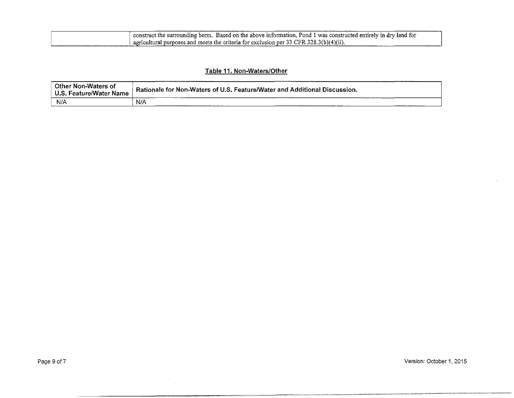| construct the surrounding berm. Based on the above information, Pond 1 was constructed entirely in dry land for |
|-----------------------------------------------------------------------------------------------------------------|
| agricultural purposes and meets the criteria for exclusion per 33 CFR 328.3(b)(4)(ii).                          |

# Table 11. Non-Waters/Other

| Other Non-Waters of     |                                                                           |
|-------------------------|---------------------------------------------------------------------------|
| U.S. Feature/Water Name | Rationale for Non-Waters of U.S. Feature/Water and Additional Discussion. |
| N/A                     | N/A                                                                       |

 $\sim$ 

 $\mathcal{L}_{\mathcal{A}}$ 

~~='"'"~-==~'---"=~=~•--••·-•-•--==~''°""·-'"~----'-'·=-~---~ '""o"-"'""=''-•-=-~"°"'~"=•~---~-"" -c---=---""""~"'" -<'•----•-•='-~""~v.oo••·-- ---H·--~'"-"'"''"'·~~0-- --~'"'~=•·•·""~---